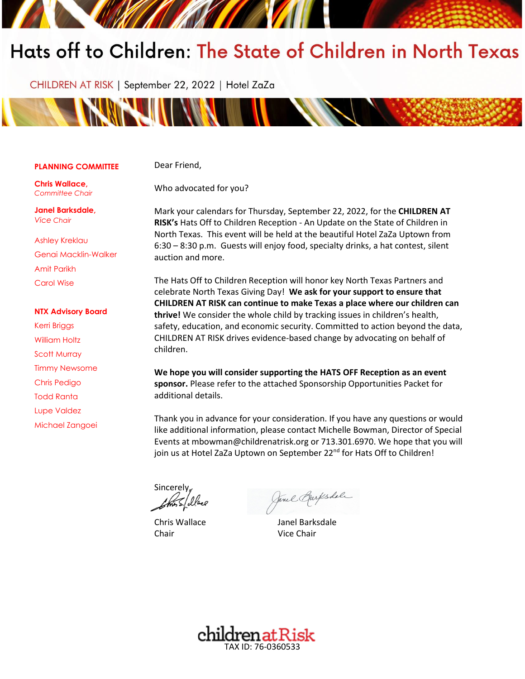# Hats off to Children: The State of Children in North Texas

CHILDREN AT RISK | September 22, 2022 | Hotel ZaZa



#### **PLANNING COMMITTEE**

Dear Friend,

Who advocated for you?

**Chris Wallace,** *Committee Chair* 

**Janel Barksdale,** *Vice Chair* 

Ashley Kreklau Genai Macklin-Walker Amit Parikh Carol Wise

#### **NTX Advisory Board**

Kerri Briggs William Holtz Scott Murray Timmy Newsome Chris Pedigo Todd Ranta Lupe Valdez Michael Zangoei Mark your calendars for Thursday, September 22, 2022, for the **CHILDREN AT RISK's** Hats Off to Children Reception - An Update on the State of Children in North Texas. This event will be held at the beautiful Hotel ZaZa Uptown from 6:30 – 8:30 p.m. Guests will enjoy food, specialty drinks, a hat contest, silent auction and more.

The Hats Off to Children Reception will honor key North Texas Partners and celebrate North Texas Giving Day! **We ask for your support to ensure that CHILDREN AT RISK can continue to make Texas a place where our children can thrive!** We consider the whole child by tracking issues in children's health, safety, education, and economic security. Committed to action beyond the data, CHILDREN AT RISK drives evidence-based change by advocating on behalf of children.

**We hope you will consider supporting the HATS OFF Reception as an event sponsor.** Please refer to the attached Sponsorship Opportunities Packet for additional details.

Thank you in advance for your consideration. If you have any questions or would like additional information, please contact Michelle Bowman, Director of Special Events at mbowman@childrenatrisk.org or 713.301.6970. We hope that you will join us at Hotel ZaZa Uptown on September 22<sup>nd</sup> for Hats Off to Children!

**Sincerely** 

Chair Vice Chair

Jane Barksdale

Chris Wallace Janel Barksdale

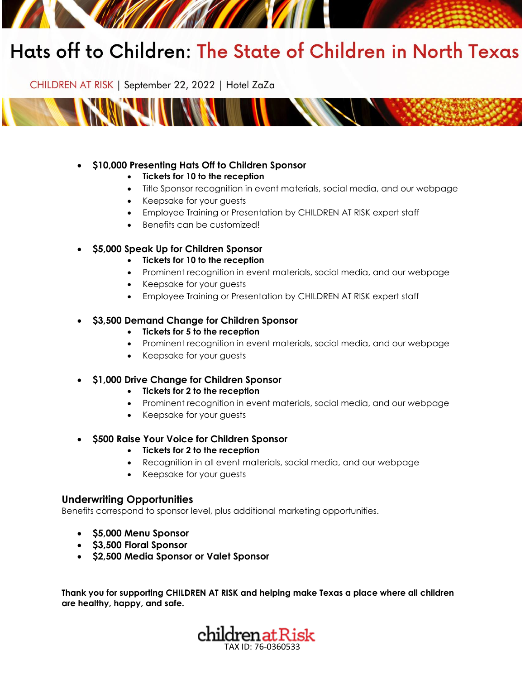# Hats off to Children: The State of Children in North Texas

CHILDREN AT RISK | September 22, 2022 | Hotel ZaZa



### • **\$10,000 Presenting Hats Off to Children Sponsor**

- **Tickets for 10 to the reception**
- Title Sponsor recognition in event materials, social media, and our webpage
- Keepsake for your guests
- Employee Training or Presentation by CHILDREN AT RISK expert staff
- Benefits can be customized!

#### • **\$5,000 Speak Up for Children Sponsor**

- **Tickets for 10 to the reception**
- Prominent recognition in event materials, social media, and our webpage
- Keepsake for your guests
- Employee Training or Presentation by CHILDREN AT RISK expert staff

#### • **\$3,500 Demand Change for Children Sponsor**

- **Tickets for 5 to the reception**
- Prominent recognition in event materials, social media, and our webpage
- Keepsake for your guests

#### • **\$1,000 Drive Change for Children Sponsor**

- **Tickets for 2 to the reception**
- Prominent recognition in event materials, social media, and our webpage
- Keepsake for your guests
- **\$500 Raise Your Voice for Children Sponsor**

#### • **Tickets for 2 to the reception**

- Recognition in all event materials, social media, and our webpage
- Keepsake for your guests

#### **Underwriting Opportunities**

Benefits correspond to sponsor level, plus additional marketing opportunities.

- **\$5,000 Menu Sponsor**
- **\$3,500 Floral Sponsor**
- **\$2,500 Media Sponsor or Valet Sponsor**

**Thank you for supporting CHILDREN AT RISK and helping make Texas a place where all children are healthy, happy, and safe.**